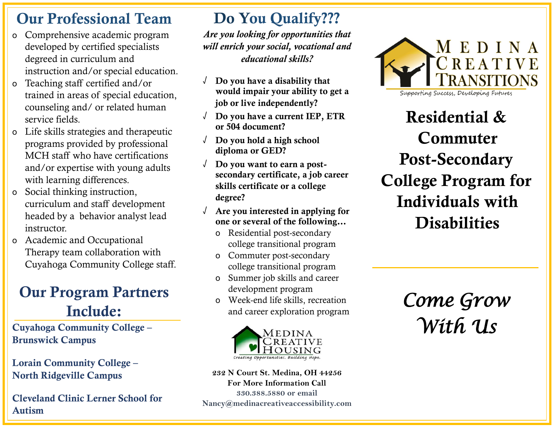#### Our Professional Team

- o Comprehensive academic program developed by certified specialists degreed in curriculum and instruction and/or special education.
- o Teaching staff certified and/or trained in areas of special education, counseling and/ or related human service fields.
- o Life skills strategies and therapeutic programs provided by professional MCH staff who have certifications and/or expertise with young adults with learning differences.
- o Social thinking instruction, curriculum and staff development headed by a behavior analyst lead instructor.
- o Academic and Occupational Therapy team collaboration with Cuyahoga Community College staff.

### Our Program Partners Include:

Cuyahoga Community College – Brunswick Campus

Lorain Community College – North Ridgeville Campus

Cleveland Clinic Lerner School for Autism

#### Do You Qualify???

*Are you looking for opportunities that will enrich your social, vocational and educational skills?*

- $\sqrt{\phantom{a}}$  Do you have a disability that would impair your ability to get a job or live independently?
- $\sqrt{\phantom{a}}$  Do you have a current IEP, ETR or 504 document?
- √ Do you hold a high school diploma or GED?
- √ Do you want to earn a postsecondary certificate, a job career skills certificate or a college degree?
- Are you interested in applying for one or several of the following…
	- o Residential post-secondary college transitional program
	- o Commuter post-secondary college transitional program
	- o Summer job skills and career development program
	- o Week-end life skills, recreation and career exploration program



**232 N Court St. Medina, OH 44256 For More Information Call 330.388.5880 or email Nancy@medinacreativeaccessibility.com**



Supporting Success, Developing Futures

Residential & Commuter Post-Secondary College Program for Individuals with **Disabilities** 

> *Come Grow With Us*